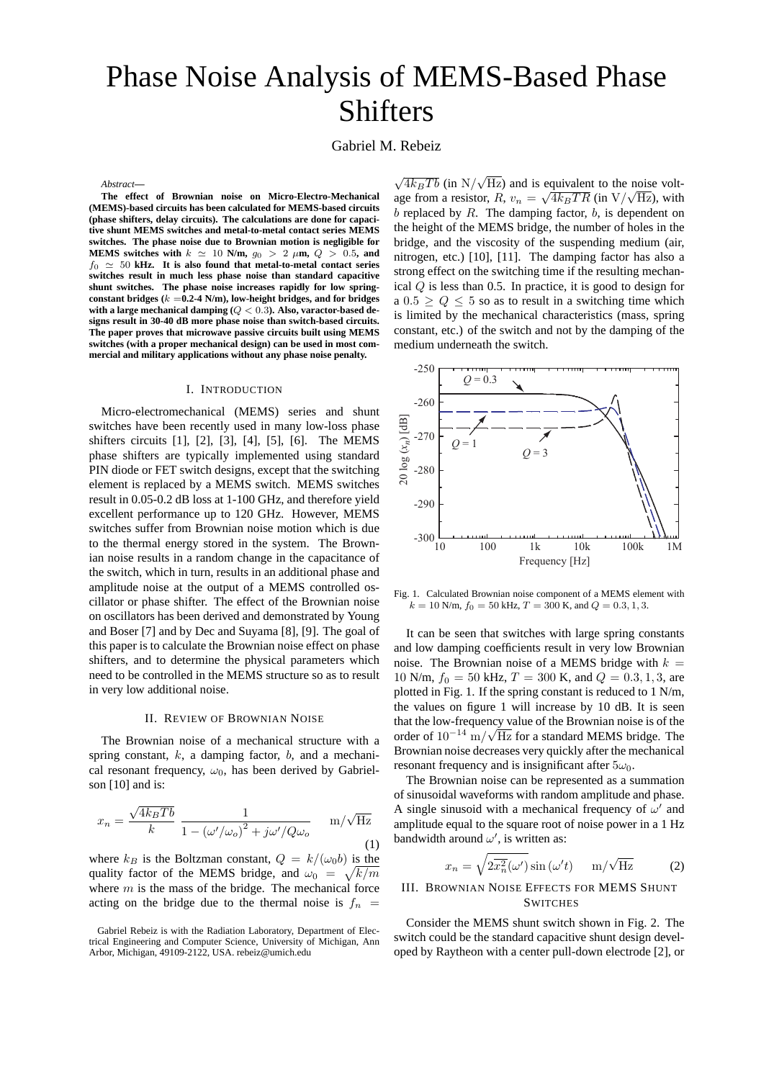# Phase Noise Analysis of MEMS-Based Phase Shifters

Gabriel M. Rebeiz

*Abstract***—**

**The effect of Brownian noise on Micro-Electro-Mechanical (MEMS)-based circuits has been calculated for MEMS-based circuits (phase shifters, delay circuits). The calculations are done for capacitive shunt MEMS switches and metal-to-metal contact series MEMS switches. The phase noise due to Brownian motion is negligible for MEMS** switches with  $k \approx 10$  **N/m,**  $q_0 > 2$   $\mu$ **m,**  $Q > 0.5$ **, and**  $f_0 \simeq 50$  kHz. It is also found that metal-to-metal contact series **switches result in much less phase noise than standard capacitive shunt switches. The phase noise increases rapidly for low spring**constant bridges  $(k = 0.2 - 4 \text{ N/m})$ , low-height bridges, and for bridges **with a large mechanical damping (**Q < 0.3**). Also, varactor-based designs result in 30-40 dB more phase noise than switch-based circuits. The paper proves that microwave passive circuits built using MEMS switches (with a proper mechanical design) can be used in most commercial and military applications without any phase noise penalty.**

## I. INTRODUCTION

Micro-electromechanical (MEMS) series and shunt switches have been recently used in many low-loss phase shifters circuits [1], [2], [3], [4], [5], [6]. The MEMS phase shifters are typically implemented using standard PIN diode or FET switch designs, except that the switching element is replaced by a MEMS switch. MEMS switches result in 0.05-0.2 dB loss at 1-100 GHz, and therefore yield excellent performance up to 120 GHz. However, MEMS switches suffer from Brownian noise motion which is due to the thermal energy stored in the system. The Brownian noise results in a random change in the capacitance of the switch, which in turn, results in an additional phase and amplitude noise at the output of a MEMS controlled oscillator or phase shifter. The effect of the Brownian noise on oscillators has been derived and demonstrated by Young and Boser [7] and by Dec and Suyama [8], [9]. The goal of this paper is to calculate the Brownian noise effect on phase shifters, and to determine the physical parameters which need to be controlled in the MEMS structure so as to result in very low additional noise.

## II. REVIEW OF BROWNIAN NOISE

The Brownian noise of a mechanical structure with a spring constant,  $k$ , a damping factor,  $b$ , and a mechanical resonant frequency,  $\omega_0$ , has been derived by Gabrielson [10] and is:

$$
x_n = \frac{\sqrt{4k_B Tb}}{k} \frac{1}{1 - (\omega'/\omega_o)^2 + j\omega'/Q\omega_o} \quad m/\sqrt{\text{Hz}}
$$
(1)

where  $k_B$  is the Boltzman constant,  $Q = k/(\omega_0 b)$  is the quality factor of the MEMS bridge, and  $\omega_0 = \sqrt{k/m}$ where  $m$  is the mass of the bridge. The mechanical force acting on the bridge due to the thermal noise is  $f_n$  =

 $\sqrt{4k_BTb}$  (in  $N/\sqrt{ }$  $\text{Hz}$ ) and is equivalent to the noise volt- $\nabla^4 \kappa B T \nu$  (in N/V Hz) and is equivalent to the holise voltage from a resistor,  $R$ ,  $v_n = \sqrt{4k_BTR}$  (in V/ $\sqrt{Hz}$ ), with  $b$  replaced by  $R$ . The damping factor,  $b$ , is dependent on the height of the MEMS bridge, the number of holes in the bridge, and the viscosity of the suspending medium (air, nitrogen, etc.) [10], [11]. The damping factor has also a strong effect on the switching time if the resulting mechanical Q is less than 0.5. In practice, it is good to design for a  $0.5 \geq Q \leq 5$  so as to result in a switching time which is limited by the mechanical characteristics (mass, spring constant, etc.) of the switch and not by the damping of the medium underneath the switch.



Fig. 1. Calculated Brownian noise component of a MEMS element with  $k = 10$  N/m,  $f_0 = 50$  kHz,  $T = 300$  K, and  $Q = 0.3, 1, 3$ .

It can be seen that switches with large spring constants and low damping coefficients result in very low Brownian noise. The Brownian noise of a MEMS bridge with  $k =$ 10 N/m,  $f_0 = 50$  kHz,  $T = 300$  K, and  $Q = 0.3, 1, 3$ , are plotted in Fig. 1. If the spring constant is reduced to 1 N/m, the values on figure 1 will increase by 10 dB. It is seen that the low-frequency value of the Brownian noise is of the order of  $10^{-14}$  m/ $\sqrt{Hz}$  for a standard MEMS bridge. The Brownian noise decreases very quickly after the mechanical resonant frequency and is insignificant after  $5\omega_0$ .

The Brownian noise can be represented as a summation of sinusoidal waveforms with random amplitude and phase. A single sinusoid with a mechanical frequency of  $\omega'$  and amplitude equal to the square root of noise power in a 1 Hz bandwidth around  $\omega'$ , is written as:

$$
x_n = \sqrt{2\overline{x_n^2}(\omega')} \sin(\omega' t) \quad m/\sqrt{\text{Hz}} \tag{2}
$$

# III. BROWNIAN NOISE EFFECTS FOR MEMS SHUNT **SWITCHES**

Consider the MEMS shunt switch shown in Fig. 2. The switch could be the standard capacitive shunt design developed by Raytheon with a center pull-down electrode [2], or

Gabriel Rebeiz is with the Radiation Laboratory, Department of Electrical Engineering and Computer Science, University of Michigan, Ann Arbor, Michigan, 49109-2122, USA. rebeiz@umich.edu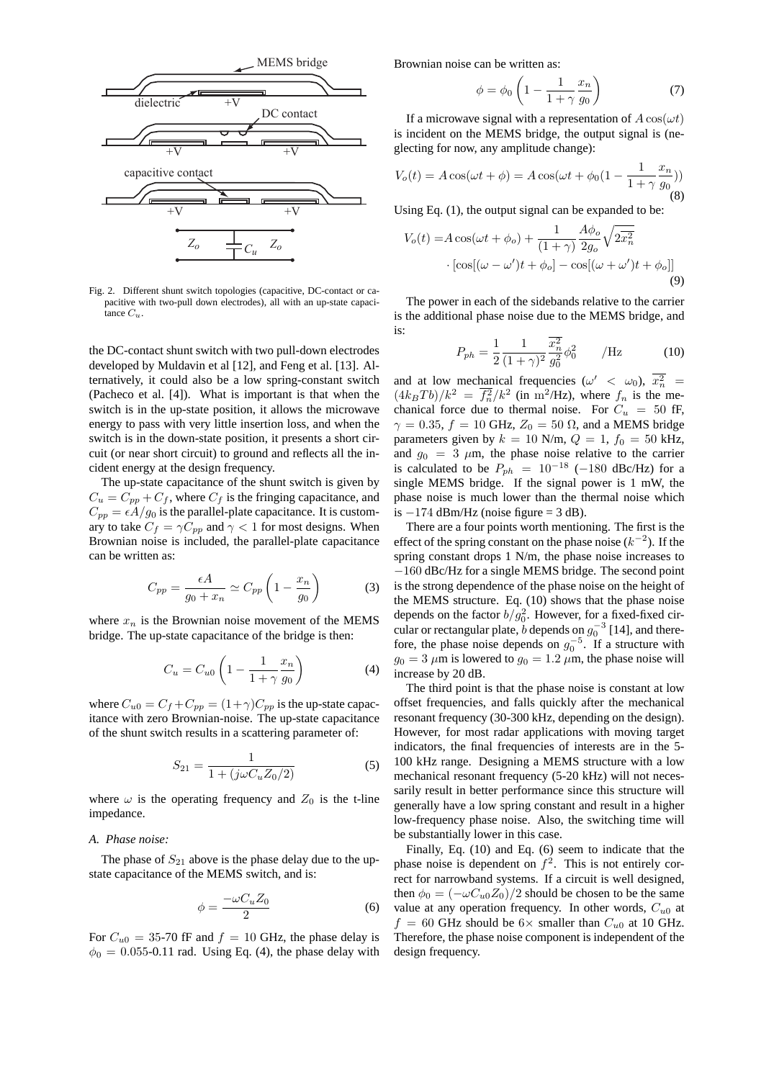

Fig. 2. Different shunt switch topologies (capacitive, DC-contact or capacitive with two-pull down electrodes), all with an up-state capacitance  $C_{\alpha}$ .

the DC-contact shunt switch with two pull-down electrodes developed by Muldavin et al [12], and Feng et al. [13]. Alternatively, it could also be a low spring-constant switch (Pacheco et al. [4]). What is important is that when the switch is in the up-state position, it allows the microwave energy to pass with very little insertion loss, and when the switch is in the down-state position, it presents a short circuit (or near short circuit) to ground and reflects all the incident energy at the design frequency.

The up-state capacitance of the shunt switch is given by  $C_u = C_{pp} + C_f$ , where  $C_f$  is the fringing capacitance, and  $C_{pp} = \epsilon A/g_0$  is the parallel-plate capacitance. It is customary to take  $C_f = \gamma C_{pp}$  and  $\gamma < 1$  for most designs. When Brownian noise is included, the parallel-plate capacitance can be written as:

$$
C_{pp} = \frac{\epsilon A}{g_0 + x_n} \simeq C_{pp} \left( 1 - \frac{x_n}{g_0} \right) \tag{3}
$$

where  $x_n$  is the Brownian noise movement of the MEMS bridge. The up-state capacitance of the bridge is then:

$$
C_u = C_{u0} \left( 1 - \frac{1}{1 + \gamma} \frac{x_n}{g_0} \right) \tag{4}
$$

where  $C_{u0} = C_f + C_{pp} = (1+\gamma)C_{pp}$  is the up-state capacitance with zero Brownian-noise. The up-state capacitance of the shunt switch results in a scattering parameter of:

$$
S_{21} = \frac{1}{1 + (j\omega C_u Z_0/2)}\tag{5}
$$

where  $\omega$  is the operating frequency and  $Z_0$  is the t-line impedance.

#### *A. Phase noise:*

The phase of  $S_{21}$  above is the phase delay due to the upstate capacitance of the MEMS switch, and is:

$$
\phi = \frac{-\omega C_u Z_0}{2} \tag{6}
$$

For  $C_{u0} = 35$ -70 fF and  $f = 10$  GHz, the phase delay is  $\phi_0 = 0.055$ -0.11 rad. Using Eq. (4), the phase delay with Brownian noise can be written as:

$$
\phi = \phi_0 \left( 1 - \frac{1}{1 + \gamma} \frac{x_n}{g_0} \right) \tag{7}
$$

If a microwave signal with a representation of  $A \cos(\omega t)$ is incident on the MEMS bridge, the output signal is (neglecting for now, any amplitude change):

$$
V_o(t) = A\cos(\omega t + \phi) = A\cos(\omega t + \phi_0(1 - \frac{1}{1 + \gamma}\frac{x_n}{g_0}))
$$
(8)

Using Eq. (1), the output signal can be expanded to be:

$$
V_o(t) = A \cos(\omega t + \phi_o) + \frac{1}{(1+\gamma)} \frac{A\phi_o}{2g_o} \sqrt{2\overline{x_n^2}} \cdot \left[\cos[(\omega - \omega')t + \phi_o] - \cos[(\omega + \omega')t + \phi_o]\right]
$$
\n(9)

The power in each of the sidebands relative to the carrier is the additional phase noise due to the MEMS bridge, and is:

$$
P_{ph} = \frac{1}{2} \frac{1}{(1+\gamma)^2} \frac{\overline{x_n^2}}{g_0^2} \phi_0^2 \qquad / \text{Hz}
$$
 (10)

and at low mechanical frequencies ( $\omega' < \omega_0$ ),  $\overline{x_n^2}$  =  $(4k_BTb)/k^2 = \overline{f_n^2}/k^2$  (in m<sup>2</sup>/Hz), where  $f_n$  is the mechanical force due to thermal noise. For  $C_u = 50$  fF,  $\gamma = 0.35$ ,  $f = 10$  GHz,  $Z_0 = 50 \Omega$ , and a MEMS bridge parameters given by  $k = 10$  N/m,  $Q = 1$ ,  $f_0 = 50$  kHz, and  $g_0 = 3 \mu m$ , the phase noise relative to the carrier is calculated to be  $P_{ph} = 10^{-18}$  (-180 dBc/Hz) for a single MEMS bridge. If the signal power is 1 mW, the phase noise is much lower than the thermal noise which is  $-174$  dBm/Hz (noise figure = 3 dB).

There are a four points worth mentioning. The first is the effect of the spring constant on the phase noise  $(k^{-2})$ . If the spring constant drops 1 N/m, the phase noise increases to −160 dBc/Hz for a single MEMS bridge. The second point is the strong dependence of the phase noise on the height of the MEMS structure. Eq. (10) shows that the phase noise depends on the factor  $b/g_0^2$ . However, for a fixed-fixed circular or rectangular plate,  $\bar{b}$  depends on  $g_0^{-3}$  [14], and therefore, the phase noise depends on  $g_0^{-5}$ . If a structure with  $g_0 = 3 \mu m$  is lowered to  $g_0 = 1.2 \mu m$ , the phase noise will increase by 20 dB.

The third point is that the phase noise is constant at low offset frequencies, and falls quickly after the mechanical resonant frequency (30-300 kHz, depending on the design). However, for most radar applications with moving target indicators, the final frequencies of interests are in the 5- 100 kHz range. Designing a MEMS structure with a low mechanical resonant frequency (5-20 kHz) will not necessarily result in better performance since this structure will generally have a low spring constant and result in a higher low-frequency phase noise. Also, the switching time will be substantially lower in this case.

Finally, Eq. (10) and Eq. (6) seem to indicate that the phase noise is dependent on  $f^2$ . This is not entirely correct for narrowband systems. If a circuit is well designed, then  $\phi_0 = \left(-\omega C_{u0} Z_0\right)/2$  should be chosen to be the same value at any operation frequency. In other words,  $C_{u0}$  at  $f = 60$  GHz should be  $6 \times$  smaller than  $C_{u0}$  at 10 GHz. Therefore, the phase noise component is independent of the design frequency.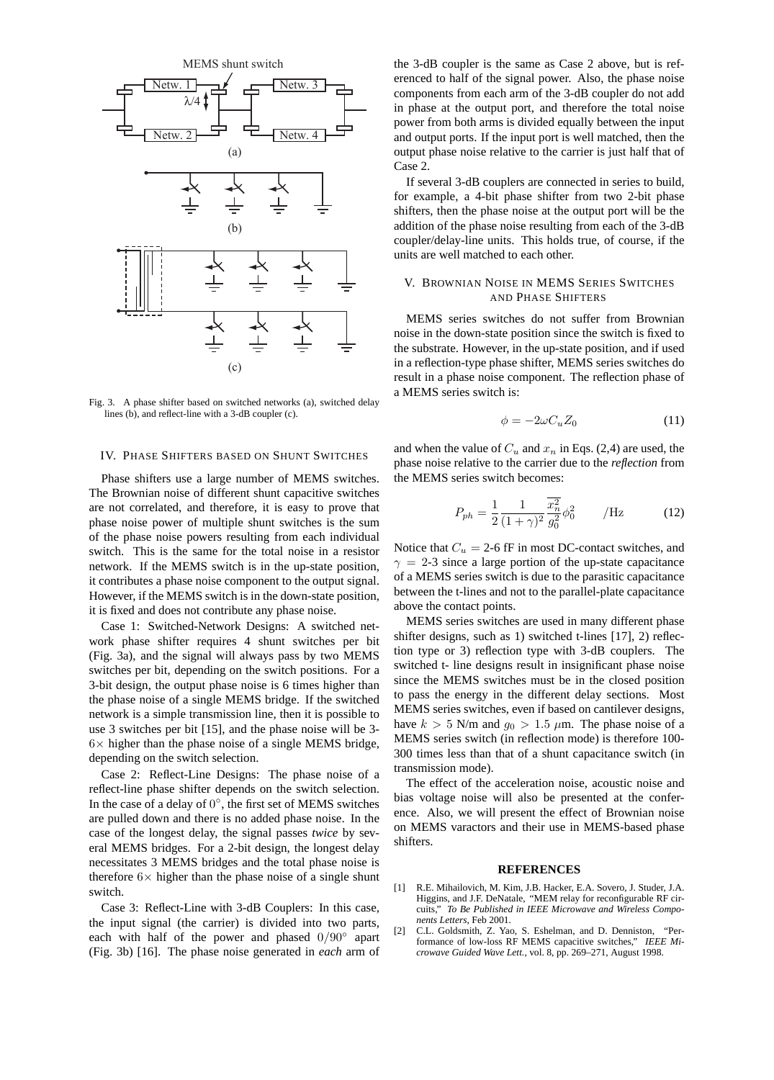

Fig. 3. A phase shifter based on switched networks (a), switched delay lines (b), and reflect-line with a 3-dB coupler (c).

#### IV. PHASE SHIFTERS BASED ON SHUNT SWITCHES

Phase shifters use a large number of MEMS switches. The Brownian noise of different shunt capacitive switches are not correlated, and therefore, it is easy to prove that phase noise power of multiple shunt switches is the sum of the phase noise powers resulting from each individual switch. This is the same for the total noise in a resistor network. If the MEMS switch is in the up-state position, it contributes a phase noise component to the output signal. However, if the MEMS switch is in the down-state position, it is fixed and does not contribute any phase noise.

Case 1: Switched-Network Designs: A switched network phase shifter requires 4 shunt switches per bit (Fig. 3a), and the signal will always pass by two MEMS switches per bit, depending on the switch positions. For a 3-bit design, the output phase noise is 6 times higher than the phase noise of a single MEMS bridge. If the switched network is a simple transmission line, then it is possible to use 3 switches per bit [15], and the phase noise will be 3-  $6\times$  higher than the phase noise of a single MEMS bridge, depending on the switch selection.

Case 2: Reflect-Line Designs: The phase noise of a reflect-line phase shifter depends on the switch selection. In the case of a delay of  $0^\circ$ , the first set of MEMS switches are pulled down and there is no added phase noise. In the case of the longest delay, the signal passes *twice* by several MEMS bridges. For a 2-bit design, the longest delay necessitates 3 MEMS bridges and the total phase noise is therefore  $6\times$  higher than the phase noise of a single shunt switch.

Case 3: Reflect-Line with 3-dB Couplers: In this case, the input signal (the carrier) is divided into two parts, each with half of the power and phased  $0/90°$  apart (Fig. 3b) [16]. The phase noise generated in *each* arm of the 3-dB coupler is the same as Case 2 above, but is referenced to half of the signal power. Also, the phase noise components from each arm of the 3-dB coupler do not add in phase at the output port, and therefore the total noise power from both arms is divided equally between the input and output ports. If the input port is well matched, then the output phase noise relative to the carrier is just half that of Case 2.

If several 3-dB couplers are connected in series to build, for example, a 4-bit phase shifter from two 2-bit phase shifters, then the phase noise at the output port will be the addition of the phase noise resulting from each of the 3-dB coupler/delay-line units. This holds true, of course, if the units are well matched to each other.

# V. BROWNIAN NOISE IN MEMS SERIES SWITCHES AND PHASE SHIFTERS

MEMS series switches do not suffer from Brownian noise in the down-state position since the switch is fixed to the substrate. However, in the up-state position, and if used in a reflection-type phase shifter, MEMS series switches do result in a phase noise component. The reflection phase of a MEMS series switch is:

$$
\phi = -2\omega C_u Z_0 \tag{11}
$$

and when the value of  $C_u$  and  $x_n$  in Eqs. (2,4) are used, the phase noise relative to the carrier due to the *reflection* from the MEMS series switch becomes:

$$
P_{ph} = \frac{1}{2} \frac{1}{(1+\gamma)^2} \frac{\overline{x_n^2}}{g_0^2} \phi_0^2 \qquad / \text{Hz}
$$
 (12)

Notice that  $C_u = 2$ -6 fF in most DC-contact switches, and  $\gamma = 2-3$  since a large portion of the up-state capacitance of a MEMS series switch is due to the parasitic capacitance between the t-lines and not to the parallel-plate capacitance above the contact points.

MEMS series switches are used in many different phase shifter designs, such as 1) switched t-lines [17], 2) reflection type or 3) reflection type with 3-dB couplers. The switched t- line designs result in insignificant phase noise since the MEMS switches must be in the closed position to pass the energy in the different delay sections. Most MEMS series switches, even if based on cantilever designs, have  $k > 5$  N/m and  $q_0 > 1.5 \mu$ m. The phase noise of a MEMS series switch (in reflection mode) is therefore 100- 300 times less than that of a shunt capacitance switch (in transmission mode).

The effect of the acceleration noise, acoustic noise and bias voltage noise will also be presented at the conference. Also, we will present the effect of Brownian noise on MEMS varactors and their use in MEMS-based phase shifters.

#### **REFERENCES**

- [1] R.E. Mihailovich, M. Kim, J.B. Hacker, E.A. Sovero, J. Studer, J.A. Higgins, and J.F. DeNatale, "MEM relay for reconfigurable RF circuits," *To Be Published in IEEE Microwave and Wireless Components Letters*, Feb 2001.
- [2] C.L. Goldsmith, Z. Yao, S. Eshelman, and D. Denniston, "Performance of low-loss RF MEMS capacitive switches," *IEEE Microwave Guided Wave Lett.*, vol. 8, pp. 269–271, August 1998.